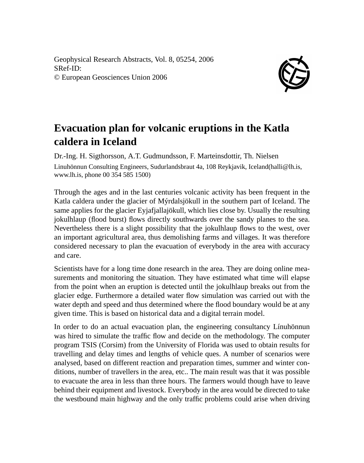Geophysical Research Abstracts, Vol. 8, 05254, 2006 SRef-ID: © European Geosciences Union 2006



## **Evacuation plan for volcanic eruptions in the Katla caldera in Iceland**

Dr.-Ing. H. Sigthorsson, A.T. Gudmundsson, F. Marteinsdottir, Th. Nielsen Linuhönnun Consulting Engineers, Sudurlandsbraut 4a, 108 Reykjavik, Iceland(halli@lh.is, www.lh.is, phone 00 354 585 1500)

Through the ages and in the last centuries volcanic activity has been frequent in the Katla caldera under the glacier of Mýrdalsjökull in the southern part of Iceland. The same applies for the glacier Eyjafjallajökull, which lies close by. Usually the resulting jokulhlaup (flood burst) flows directly southwards over the sandy planes to the sea. Nevertheless there is a slight possibility that the jokulhlaup flows to the west, over an important agricultural area, thus demolishing farms and villages. It was therefore considered necessary to plan the evacuation of everybody in the area with accuracy and care.

Scientists have for a long time done research in the area. They are doing online measurements and monitoring the situation. They have estimated what time will elapse from the point when an eruption is detected until the jokulhlaup breaks out from the glacier edge. Furthermore a detailed water flow simulation was carried out with the water depth and speed and thus determined where the flood boundary would be at any given time. This is based on historical data and a digital terrain model.

In order to do an actual evacuation plan, the engineering consultancy Línuhönnun was hired to simulate the traffic flow and decide on the methodology. The computer program TSIS (Corsim) from the University of Florida was used to obtain results for travelling and delay times and lengths of vehicle ques. A number of scenarios were analysed, based on different reaction and preparation times, summer and winter conditions, number of travellers in the area, etc.. The main result was that it was possible to evacuate the area in less than three hours. The farmers would though have to leave behind their equipment and livestock. Everybody in the area would be directed to take the westbound main highway and the only traffic problems could arise when driving